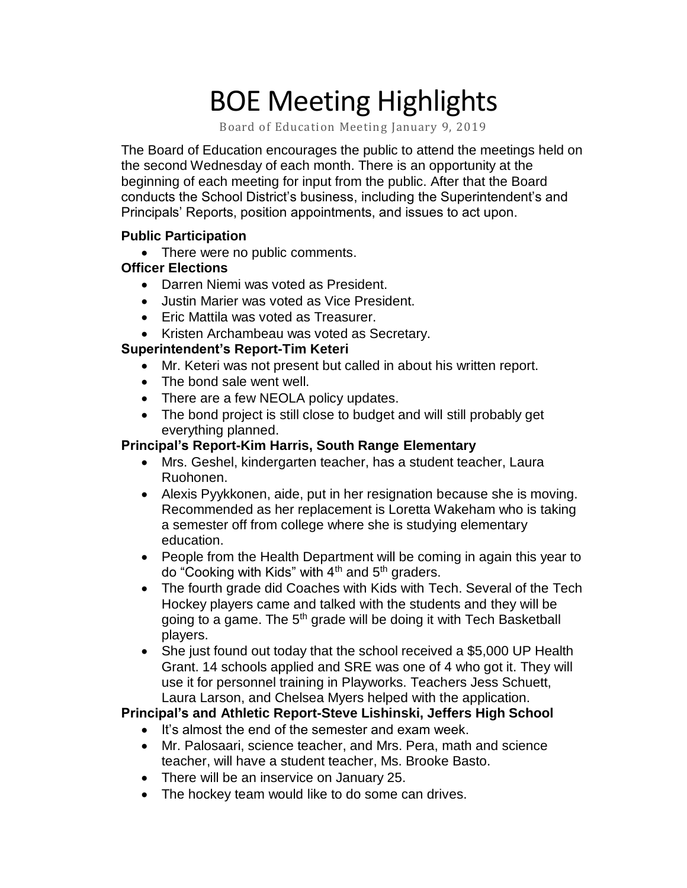# BOE Meeting Highlights

Board of Education Meeting January 9, 2019

 The Board of Education encourages the public to attend the meetings held on the second Wednesday of each month. There is an opportunity at the beginning of each meeting for input from the public. After that the Board conducts the School District's business, including the Superintendent's and Principals' Reports, position appointments, and issues to act upon.

# **Public Participation**

• There were no public comments.

# **Officer Elections**

- Darren Niemi was voted as President.
- Justin Marier was voted as Vice President.
- Eric Mattila was voted as Treasurer.
- Kristen Archambeau was voted as Secretary.

### **Superintendent's Report-Tim Keteri**

- Mr. Keteri was not present but called in about his written report.
- The bond sale went well.
- There are a few NEOLA policy updates.
- The bond project is still close to budget and will still probably get everything planned.

# **Principal's Report-Kim Harris, South Range Elementary**

- • Mrs. Geshel, kindergarten teacher, has a student teacher, Laura Ruohonen.
- • Alexis Pyykkonen, aide, put in her resignation because she is moving. Recommended as her replacement is Loretta Wakeham who is taking a semester off from college where she is studying elementary education.
- • People from the Health Department will be coming in again this year to do "Cooking with Kids" with  $4^{\text{th}}$  and  $5^{\text{th}}$  graders.
- • The fourth grade did Coaches with Kids with Tech. Several of the Tech Hockey players came and talked with the students and they will be going to a game. The 5<sup>th</sup> grade will be doing it with Tech Basketball players.
- She just found out today that the school received a \$5,000 UP Health Grant. 14 schools applied and SRE was one of 4 who got it. They will use it for personnel training in Playworks. Teachers Jess Schuett, Laura Larson, and Chelsea Myers helped with the application.

# **Principal's and Athletic Report-Steve Lishinski, Jeffers High School**

- It's almost the end of the semester and exam week.
- • Mr. Palosaari, science teacher, and Mrs. Pera, math and science teacher, will have a student teacher, Ms. Brooke Basto.
- There will be an inservice on January 25.
- The hockey team would like to do some can drives.